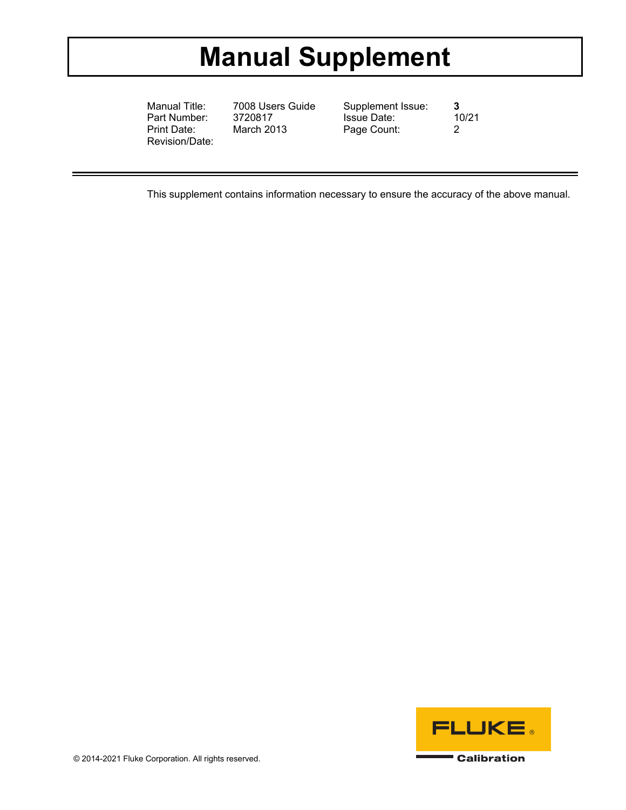# **Manual Supplement**

Manual Title: 7008 Users Guide Supplement Issue: **3**  Part Number: Print Date: March 2013 Page Count: 2 Revision/Date:

This supplement contains information necessary to ensure the accuracy of the above manual.

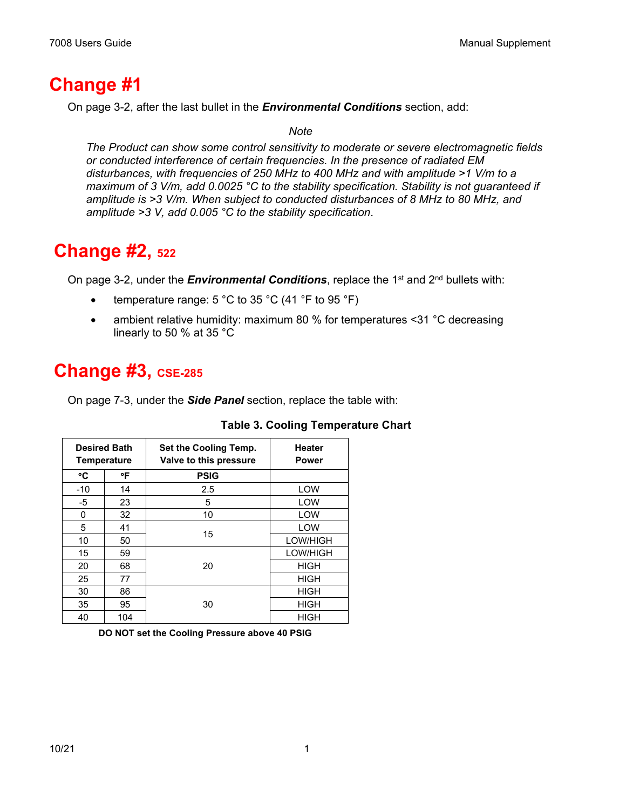### **Change #1**

On page 3-2, after the last bullet in the *Environmental Conditions* section, add:

#### *Note*

*The Product can show some control sensitivity to moderate or severe electromagnetic fields or conducted interference of certain frequencies. In the presence of radiated EM disturbances, with frequencies of 250 MHz to 400 MHz and with amplitude >1 V/m to a maximum of 3 V/m, add 0.0025 °C to the stability specification. Stability is not guaranteed if amplitude is >3 V/m. When subject to conducted disturbances of 8 MHz to 80 MHz, and amplitude >3 V, add 0.005 °C to the stability specification*.

#### **Change #2, 522**

On page 3-2, under the *Environmental Conditions*, replace the 1<sup>st</sup> and 2<sup>nd</sup> bullets with:

- temperature range:  $5^{\circ}$ C to  $35^{\circ}$ C (41  $\degree$ F to  $95^{\circ}$ F)
- ambient relative humidity: maximum 80 % for temperatures <31 °C decreasing linearly to 50 % at 35 °C

## **Change #3, CSE-285**

On page 7-3, under the *Side Panel* section, replace the table with:

| <b>Desired Bath</b><br><b>Temperature</b> |     | Set the Cooling Temp.<br>Valve to this pressure | <b>Heater</b><br>Power |
|-------------------------------------------|-----|-------------------------------------------------|------------------------|
| °C                                        | °F  | <b>PSIG</b>                                     |                        |
| $-10$                                     | 14  | 2.5                                             | LOW                    |
| $-5$                                      | 23  | 5                                               | LOW                    |
| 0                                         | 32  | 10                                              | LOW                    |
| 5                                         | 41  | 15                                              | LOW                    |
| 10                                        | 50  |                                                 | LOW/HIGH               |
| 15                                        | 59  | 20                                              | LOW/HIGH               |
| 20                                        | 68  |                                                 | <b>HIGH</b>            |
| 25                                        | 77  |                                                 | <b>HIGH</b>            |
| 30                                        | 86  | 30                                              | HIGH                   |
| 35                                        | 95  |                                                 | <b>HIGH</b>            |
| 40                                        | 104 |                                                 | <b>HIGH</b>            |

#### **Table 3. Cooling Temperature Chart**

**DO NOT set the Cooling Pressure above 40 PSIG**